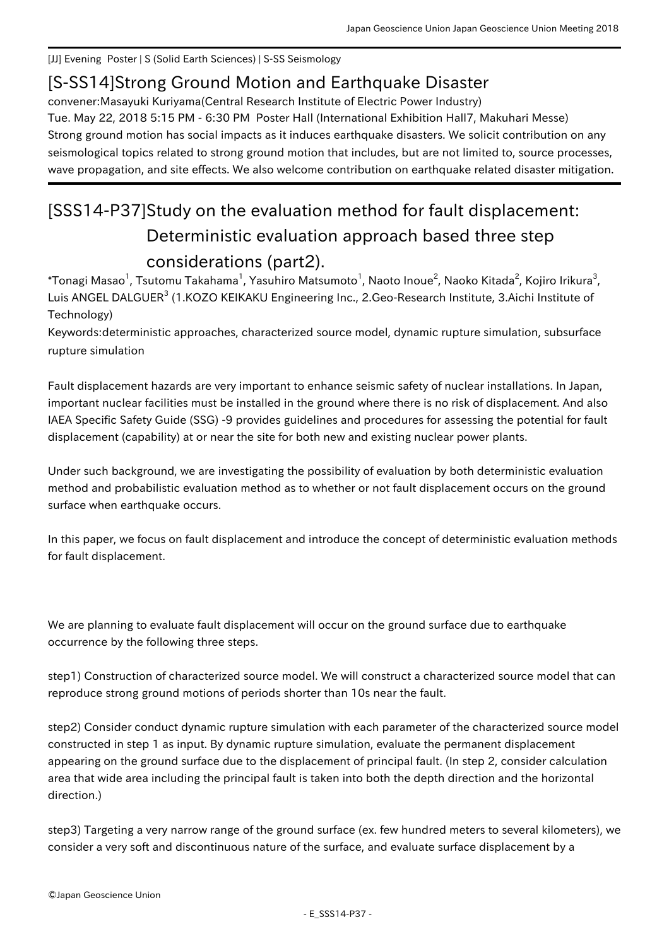[JJ] Evening Poster | S (Solid Earth Sciences) | S-SS Seismology

## [S-SS14] Strong Ground Motion and Earthquake Disaster

convener:Masayuki Kuriyama(Central Research Institute of Electric Power Industry) Tue. May 22, 2018 5:15 PM - 6:30 PM Poster Hall (International Exhibition Hall7, Makuhari Messe) Strong ground motion has social impacts as it induces earthquake disasters. We solicit contribution on any seismological topics related to strong ground motion that includes, but are not limited to, source processes, wave propagation, and site effects. We also welcome contribution on earthquake related disaster mitigation.

## [SSS14-P37] Study on the evaluation method for fault displacement: Deterministic evaluation approach based three step considerations (part2).

 $^\ast$ Tonagi Masao $^1$ , Tsutomu Takahama $^1$ , Yasuhiro Matsumoto $^1$ , Naoto Inoue $^2$ , Naoko Kitada $^2$ , Kojiro Irikura $^3$ , Luis ANGEL DALGUER<sup>3</sup> (1.KOZO KEIKAKU Engineering Inc., 2.Geo-Research Institute, 3.Aichi Institute of Technology)

Keywords:deterministic approaches, characterized source model, dynamic rupture simulation, subsurface rupture simulation

Fault displacement hazards are very important to enhance seismic safety of nuclear installations. In Japan, important nuclear facilities must be installed in the ground where there is no risk of displacement. And also IAEA Specific Safety Guide (SSG) -9 provides guidelines and procedures for assessing the potential for fault displacement (capability) at or near the site for both new and existing nuclear power plants.

Under such background, we are investigating the possibility of evaluation by both deterministic evaluation method and probabilistic evaluation method as to whether or not fault displacement occurs on the ground surface when earthquake occurs.

In this paper, we focus on fault displacement and introduce the concept of deterministic evaluation methods for fault displacement.

We are planning to evaluate fault displacement will occur on the ground surface due to earthquake occurrence by the following three steps.

step1) Construction of characterized source model. We will construct a characterized source model that can reproduce strong ground motions of periods shorter than 10s near the fault.

step2) Consider conduct dynamic rupture simulation with each parameter of the characterized source model constructed in step 1 as input. By dynamic rupture simulation, evaluate the permanent displacement appearing on the ground surface due to the displacement of principal fault. (In step 2, consider calculation area that wide area including the principal fault is taken into both the depth direction and the horizontal direction.)

step3) Targeting a very narrow range of the ground surface (ex. few hundred meters to several kilometers), we consider a very soft and discontinuous nature of the surface, and evaluate surface displacement by a